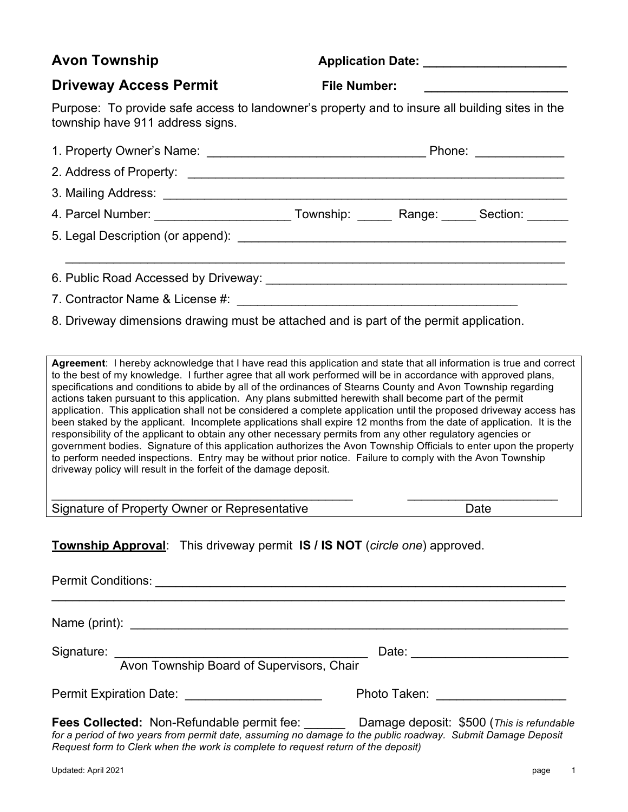## **Avon Township Application Date:** Application Date:

### **Driveway Access Permit** File Number:

Purpose: To provide safe access to landowner's property and to insure all building sites in the township have 911 address signs.

|                                                                                                   | Phone: _____________ |  |  |
|---------------------------------------------------------------------------------------------------|----------------------|--|--|
|                                                                                                   |                      |  |  |
|                                                                                                   |                      |  |  |
| 4. Parcel Number: ___________________________Township: _________Range: _______Section: _______    |                      |  |  |
|                                                                                                   |                      |  |  |
| 6. Public Road Accessed by Driveway: Cambridge Contract Contract Control of Accessed by Driveway: |                      |  |  |
| 7. Contractor Name & License #:                                                                   |                      |  |  |

8. Driveway dimensions drawing must be attached and is part of the permit application.

**Agreement**: I hereby acknowledge that I have read this application and state that all information is true and correct to the best of my knowledge. I further agree that all work performed will be in accordance with approved plans, specifications and conditions to abide by all of the ordinances of Stearns County and Avon Township regarding actions taken pursuant to this application. Any plans submitted herewith shall become part of the permit application. This application shall not be considered a complete application until the proposed driveway access has been staked by the applicant. Incomplete applications shall expire 12 months from the date of application. It is the responsibility of the applicant to obtain any other necessary permits from any other regulatory agencies or government bodies. Signature of this application authorizes the Avon Township Officials to enter upon the property to perform needed inspections. Entry may be without prior notice. Failure to comply with the Avon Township driveway policy will result in the forfeit of the damage deposit.

 $\_$  , and the set of the set of the set of the set of the set of the set of the set of the set of the set of the set of the set of the set of the set of the set of the set of the set of the set of the set of the set of th

Signature of Property Owner or Representative Date

**Township Approval**: This driveway permit **IS / IS NOT** (*circle one*) approved.

Permit Conditions: \_\_\_\_\_\_\_\_\_\_\_\_\_\_\_\_\_\_\_\_\_\_\_\_\_\_\_\_\_\_\_\_\_\_\_\_\_\_\_\_\_\_\_\_\_\_\_\_\_\_\_\_\_\_\_\_\_\_\_\_  $\_$ 

Name (print):

Signature: \_\_\_\_\_\_\_\_\_\_\_\_\_\_\_\_\_\_\_\_\_\_\_\_\_\_\_\_\_\_\_\_\_\_\_\_\_ Date: \_\_\_\_\_\_\_\_\_\_\_\_\_\_\_\_\_\_\_\_\_\_\_

#### Avon Township Board of Supervisors, Chair

Permit Expiration Date: \_\_\_\_\_\_\_\_\_\_\_\_\_\_\_\_\_\_\_\_ Photo Taken: \_\_\_\_\_\_\_\_\_\_\_\_\_\_\_\_\_\_\_

**Fees Collected:** Non-Refundable permit fee: \_\_\_\_\_\_ Damage deposit: \$500 (*This is refundable for a period of two years from permit date, assuming no damage to the public roadway. Submit Damage Deposit Request form to Clerk when the work is complete to request return of the deposit)*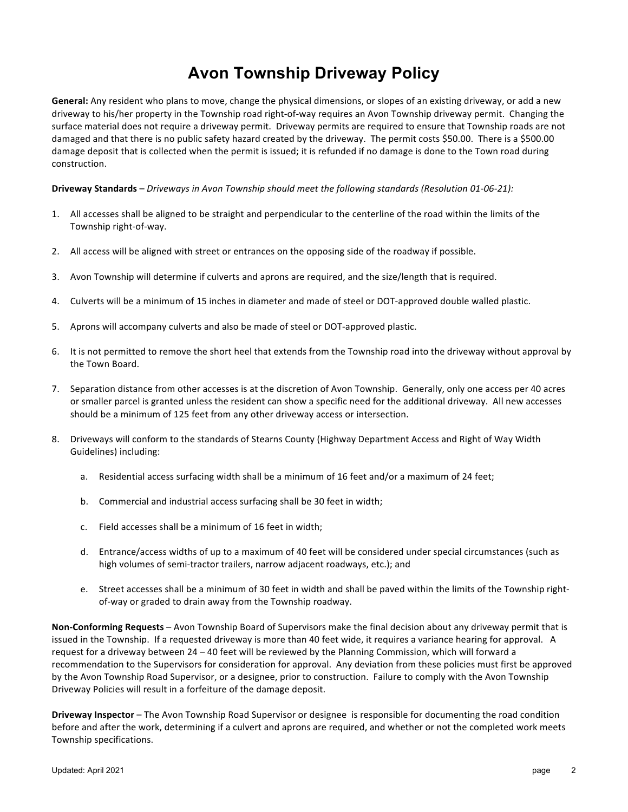## **Avon Township Driveway Policy**

General: Any resident who plans to move, change the physical dimensions, or slopes of an existing driveway, or add a new driveway to his/her property in the Township road right-of-way requires an Avon Township driveway permit. Changing the surface material does not require a driveway permit. Driveway permits are required to ensure that Township roads are not damaged and that there is no public safety hazard created by the driveway. The permit costs \$50.00. There is a \$500.00 damage deposit that is collected when the permit is issued; it is refunded if no damage is done to the Town road during construction. 

**Driveway Standards** – *Driveways* in Avon Township should meet the following standards (Resolution 01-06-21):

- 1. All accesses shall be aligned to be straight and perpendicular to the centerline of the road within the limits of the Township right-of-way.
- 2. All access will be aligned with street or entrances on the opposing side of the roadway if possible.
- 3. Avon Township will determine if culverts and aprons are required, and the size/length that is required.
- 4. Culverts will be a minimum of 15 inches in diameter and made of steel or DOT-approved double walled plastic.
- 5. Aprons will accompany culverts and also be made of steel or DOT-approved plastic.
- 6. It is not permitted to remove the short heel that extends from the Township road into the driveway without approval by the Town Board.
- 7. Separation distance from other accesses is at the discretion of Avon Township. Generally, only one access per 40 acres or smaller parcel is granted unless the resident can show a specific need for the additional driveway. All new accesses should be a minimum of 125 feet from any other driveway access or intersection.
- 8. Driveways will conform to the standards of Stearns County (Highway Department Access and Right of Way Width Guidelines) including:
	- a. Residential access surfacing width shall be a minimum of 16 feet and/or a maximum of 24 feet;
	- b. Commercial and industrial access surfacing shall be 30 feet in width;
	- c. Field accesses shall be a minimum of 16 feet in width;
	- d. Entrance/access widths of up to a maximum of 40 feet will be considered under special circumstances (such as high volumes of semi-tractor trailers, narrow adjacent roadways, etc.); and
	- e. Street accesses shall be a minimum of 30 feet in width and shall be paved within the limits of the Township rightof-way or graded to drain away from the Township roadway.

**Non-Conforming Requests** – Avon Township Board of Supervisors make the final decision about any driveway permit that is issued in the Township. If a requested driveway is more than 40 feet wide, it requires a variance hearing for approval. A request for a driveway between 24 – 40 feet will be reviewed by the Planning Commission, which will forward a recommendation to the Supervisors for consideration for approval. Any deviation from these policies must first be approved by the Avon Township Road Supervisor, or a designee, prior to construction. Failure to comply with the Avon Township Driveway Policies will result in a forfeiture of the damage deposit.

**Driveway Inspector** – The Avon Township Road Supervisor or designee is responsible for documenting the road condition before and after the work, determining if a culvert and aprons are required, and whether or not the completed work meets Township specifications.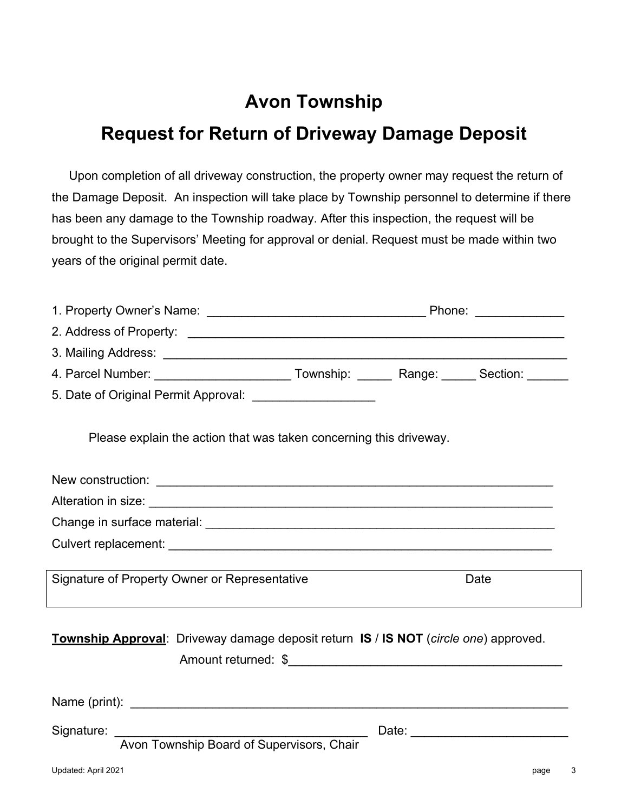# **Avon Township**

## **Request for Return of Driveway Damage Deposit**

Upon completion of all driveway construction, the property owner may request the return of the Damage Deposit. An inspection will take place by Township personnel to determine if there has been any damage to the Township roadway. After this inspection, the request will be brought to the Supervisors' Meeting for approval or denial. Request must be made within two years of the original permit date.

| 4. Parcel Number: ___________________________Township: _________Range: _______ Section: _______ |  |  |                                         |
|-------------------------------------------------------------------------------------------------|--|--|-----------------------------------------|
|                                                                                                 |  |  |                                         |
| Please explain the action that was taken concerning this driveway.                              |  |  |                                         |
|                                                                                                 |  |  |                                         |
|                                                                                                 |  |  |                                         |
|                                                                                                 |  |  |                                         |
|                                                                                                 |  |  |                                         |
| Signature of Property Owner or Representative                                                   |  |  | Date                                    |
| Township Approval: Driveway damage deposit return IS / IS NOT (circle one) approved.            |  |  |                                         |
|                                                                                                 |  |  |                                         |
| Signature:<br>Avon Township Board of Supervisors, Chair                                         |  |  | Date: <u>__________________________</u> |